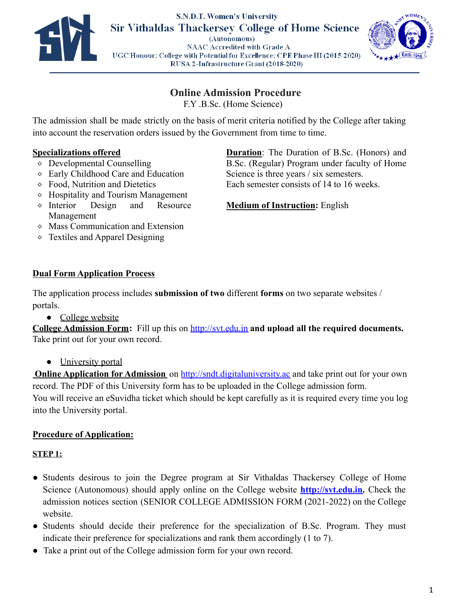



# **Online Admission Procedure**

F.Y .B.Sc. (Home Science)

The admission shall be made strictly on the basis of merit criteria notified by the College after taking into account the reservation orders issued by the Government from time to time.

### **Specializations offered**

- ⬥ Developmental Counselling
- ⬥ Early Childhood Care and Education
- ⬥ Food, Nutrition and Dietetics
- ⬥ Hospitality and Tourism Management
- ⬥ Interior Design and Resource Management
- ⬥ Mass Communication and Extension
- ⬥ Textiles and Apparel Designing

# **Dual Form Application Process**

The application process includes **submission of two** different **forms** on two separate websites / portals.

• College website

**College Admission Form:** Fill up this on <http://svt.edu.in> **and upload all the required documents.** Take print out for your own record.

**●** University portal

**Online Application for Admission** on <http://sndt.digitaluniversity.ac> and take print out for your own record. The PDF of this University form has to be uploaded in the College admission form. You will receive an eSuvidha ticket which should be kept carefully as it is required every time you log into the University portal.

# **Procedure of Application:**

### **STEP 1:**

- Students desirous to join the Degree program at Sir Vithaldas Thackersey College of Home Science (Autonomous) should apply online on the College website **[http://svt.edu.in.](http://svt.edu.in)** Check the admission notices section (SENIOR COLLEGE ADMISSION FORM (2021-2022) on the College website.
- Students should decide their preference for the specialization of B.Sc. Program. They must indicate their preference for specializations and rank them accordingly (1 to 7).
- Take a print out of the College admission form for your own record.

**Duration**: The Duration of B.Sc. (Honors) and B.Sc. (Regular) Program under faculty of Home Science is three years / six semesters. Each semester consists of 14 to 16 weeks.

# **Medium of Instruction:** English